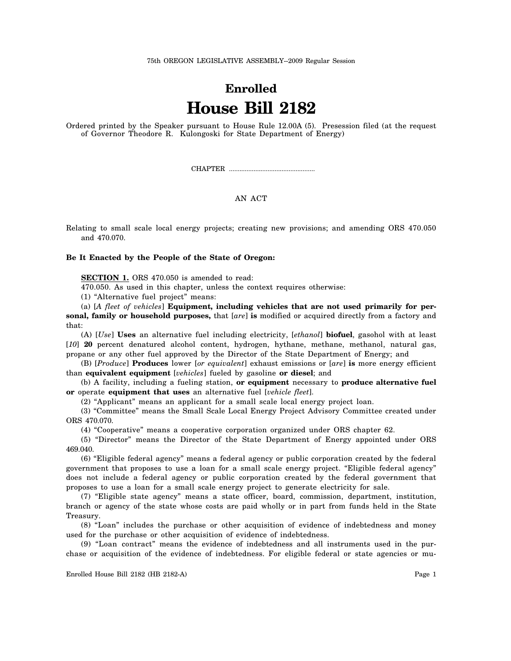## **Enrolled House Bill 2182**

Ordered printed by the Speaker pursuant to House Rule 12.00A (5). Presession filed (at the request of Governor Theodore R. Kulongoski for State Department of Energy)

CHAPTER .................................................

## AN ACT

Relating to small scale local energy projects; creating new provisions; and amending ORS 470.050 and 470.070.

## **Be It Enacted by the People of the State of Oregon:**

**SECTION 1.** ORS 470.050 is amended to read:

470.050. As used in this chapter, unless the context requires otherwise:

(1) "Alternative fuel project" means:

(a) [*A fleet of vehicles*] **Equipment, including vehicles that are not used primarily for personal, family or household purposes,** that [*are*] **is** modified or acquired directly from a factory and that:

(A) [*Use*] **Uses** an alternative fuel including electricity, [*ethanol*] **biofuel**, gasohol with at least [*10*] **20** percent denatured alcohol content, hydrogen, hythane, methane, methanol, natural gas, propane or any other fuel approved by the Director of the State Department of Energy; and

(B) [*Produce*] **Produces** lower [*or equivalent*] exhaust emissions or [*are*] **is** more energy efficient than **equivalent equipment** [*vehicles*] fueled by gasoline **or diesel**; and

(b) A facility, including a fueling station, **or equipment** necessary to **produce alternative fuel or** operate **equipment that uses** an alternative fuel [*vehicle fleet*].

(2) "Applicant" means an applicant for a small scale local energy project loan.

(3) "Committee" means the Small Scale Local Energy Project Advisory Committee created under ORS 470.070.

(4) "Cooperative" means a cooperative corporation organized under ORS chapter 62.

(5) "Director" means the Director of the State Department of Energy appointed under ORS 469.040.

(6) "Eligible federal agency" means a federal agency or public corporation created by the federal government that proposes to use a loan for a small scale energy project. "Eligible federal agency" does not include a federal agency or public corporation created by the federal government that proposes to use a loan for a small scale energy project to generate electricity for sale.

(7) "Eligible state agency" means a state officer, board, commission, department, institution, branch or agency of the state whose costs are paid wholly or in part from funds held in the State Treasury.

(8) "Loan" includes the purchase or other acquisition of evidence of indebtedness and money used for the purchase or other acquisition of evidence of indebtedness.

(9) "Loan contract" means the evidence of indebtedness and all instruments used in the purchase or acquisition of the evidence of indebtedness. For eligible federal or state agencies or mu-

Enrolled House Bill 2182 (HB 2182-A) Page 1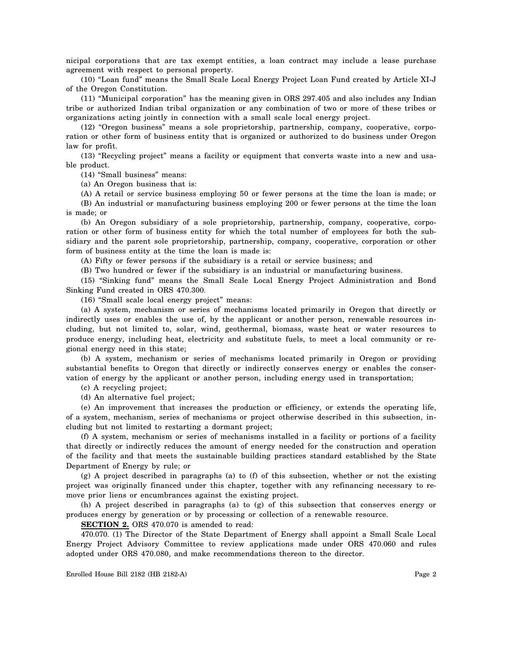nicipal corporations that are tax exempt entities, a loan contract may include a lease purchase agreement with respect to personal property.

(10) "Loan fund" means the Small Scale Local Energy Project Loan Fund created by Article XI-J of the Oregon Constitution.

(11) "Municipal corporation" has the meaning given in ORS 297.405 and also includes any Indian tribe or authorized Indian tribal organization or any combination of two or more of these tribes or organizations acting jointly in connection with a small scale local energy project.

(12) "Oregon business" means a sole proprietorship, partnership, company, cooperative, corporation or other form of business entity that is organized or authorized to do business under Oregon law for profit.

(13) "Recycling project" means a facility or equipment that converts waste into a new and usable product.

(14) "Small business" means:

(a) An Oregon business that is:

(A) A retail or service business employing 50 or fewer persons at the time the loan is made; or (B) An industrial or manufacturing business employing 200 or fewer persons at the time the loan is made; or

(b) An Oregon subsidiary of a sole proprietorship, partnership, company, cooperative, corporation or other form of business entity for which the total number of employees for both the subsidiary and the parent sole proprietorship, partnership, company, cooperative, corporation or other form of business entity at the time the loan is made is:

(A) Fifty or fewer persons if the subsidiary is a retail or service business; and

(B) Two hundred or fewer if the subsidiary is an industrial or manufacturing business.

(15) "Sinking fund" means the Small Scale Local Energy Project Administration and Bond Sinking Fund created in ORS 470.300.

(16) "Small scale local energy project" means:

(a) A system, mechanism or series of mechanisms located primarily in Oregon that directly or indirectly uses or enables the use of, by the applicant or another person, renewable resources including, but not limited to, solar, wind, geothermal, biomass, waste heat or water resources to produce energy, including heat, electricity and substitute fuels, to meet a local community or regional energy need in this state;

(b) A system, mechanism or series of mechanisms located primarily in Oregon or providing substantial benefits to Oregon that directly or indirectly conserves energy or enables the conservation of energy by the applicant or another person, including energy used in transportation;

(c) A recycling project;

(d) An alternative fuel project;

(e) An improvement that increases the production or efficiency, or extends the operating life, of a system, mechanism, series of mechanisms or project otherwise described in this subsection, including but not limited to restarting a dormant project;

(f) A system, mechanism or series of mechanisms installed in a facility or portions of a facility that directly or indirectly reduces the amount of energy needed for the construction and operation of the facility and that meets the sustainable building practices standard established by the State Department of Energy by rule; or

 $(g)$  A project described in paragraphs (a) to (f) of this subsection, whether or not the existing project was originally financed under this chapter, together with any refinancing necessary to remove prior liens or encumbrances against the existing project.

(h) A project described in paragraphs (a) to (g) of this subsection that conserves energy or produces energy by generation or by processing or collection of a renewable resource.

**SECTION 2.** ORS 470.070 is amended to read:

470.070. (1) The Director of the State Department of Energy shall appoint a Small Scale Local Energy Project Advisory Committee to review applications made under ORS 470.060 and rules adopted under ORS 470.080, and make recommendations thereon to the director.

Enrolled House Bill 2182 (HB 2182-A) Page 2